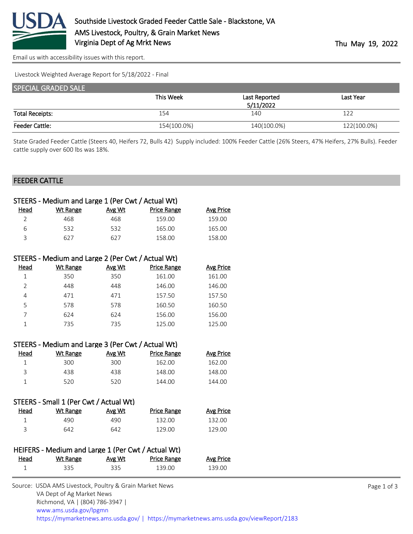

[Email us with accessibility issues with this report.](mailto:mars@ams.usda.gov?subject=508%20issue)

Livestock Weighted Average Report for 5/18/2022 - Final

| <b>SPECIAL GRADED SALE</b> |             |               |             |  |
|----------------------------|-------------|---------------|-------------|--|
|                            | This Week   | Last Reported | Last Year   |  |
|                            |             | 5/11/2022     |             |  |
| <b>Total Receipts:</b>     | 154         | 140           | 122         |  |
| <b>Feeder Cattle:</b>      | 154(100.0%) | 140(100.0%)   | 122(100.0%) |  |

State Graded Feeder Cattle (Steers 40, Heifers 72, Bulls 42) Supply included: 100% Feeder Cattle (26% Steers, 47% Heifers, 27% Bulls). Feeder cattle supply over 600 lbs was 18%.

#### FEEDER CATTLE

| STEERS - Medium and Large 1 (Per Cwt / Actual Wt) |          |        |                    |           |
|---------------------------------------------------|----------|--------|--------------------|-----------|
| Head                                              | Wt Range | Avg Wt | <b>Price Range</b> | Avg Price |
|                                                   | 468      | 468    | 159.00             | 159.00    |
| 6                                                 | 532      | 532    | 165.00             | 165.00    |
| ₹                                                 | 627      | 627    | 158.00             | 158.00    |
|                                                   |          |        |                    |           |

| STEERS - Medium and Large 2 (Per Cwt / Actual Wt) |          |        |                    |                  |
|---------------------------------------------------|----------|--------|--------------------|------------------|
| Head                                              | Wt Range | Avg Wt | <b>Price Range</b> | <b>Avg Price</b> |
|                                                   | 350      | 350    | 161.00             | 161.00           |
| $\mathcal{P}$                                     | 448      | 448    | 146.00             | 146.00           |
| 4                                                 | 471      | 471    | 157.50             | 157.50           |
| 5                                                 | 578      | 578    | 160.50             | 160.50           |
|                                                   | 624      | 624    | 156.00             | 156.00           |
|                                                   | 735      | 735    | 125.00             | 125.00           |

| STEERS - Medium and Large 3 (Per Cwt / Actual Wt) |          |        |                    |                  |
|---------------------------------------------------|----------|--------|--------------------|------------------|
| Head                                              | Wt Range | Avg Wt | <b>Price Range</b> | <b>Avg Price</b> |
|                                                   | 300      | 300    | 162.00             | 162.00           |
| 3                                                 | 438      | 438    | 148.00             | 148.00           |
|                                                   | 520.     | 520    | 144.00             | 144.00           |
|                                                   |          |        |                    |                  |

| STEERS - Small I (Per CWt / Actual Wt) |          |        |                    |                  |
|----------------------------------------|----------|--------|--------------------|------------------|
| Head                                   | Wt Range | Avg Wt | <b>Price Range</b> | <b>Avg Price</b> |
|                                        | 490      | 490    | 132.00             | 132.00           |
| ₹                                      | 642      | 642    | 129.00             | 129.00           |

 $\sim$  stead in  $\sim$  1 (Per Cwt)

| HEIFERS - Medium and Large 1 (Per Cwt / Actual Wt) |          |        |                    |                  |
|----------------------------------------------------|----------|--------|--------------------|------------------|
| Head                                               | Wt Range | Avg Wt | <b>Price Range</b> | <b>Avg Price</b> |
|                                                    | 335      | 335    | 139.00             | 139.OO           |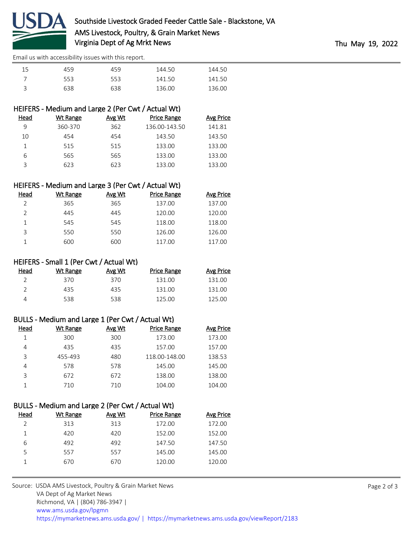

[Email us with accessibility issues with this report.](mailto:mars@ams.usda.gov?subject=508%20issue)

| 15 | 459 | 459 | 144.50 | 144.50 |
|----|-----|-----|--------|--------|
|    | 553 | 553 | 141.50 | 141.50 |
|    | 638 | 638 | 136.00 | 136.00 |

# HEIFERS - Medium and Large 2 (Per Cwt / Actual Wt)

| Head | Wt Range | Avg Wt | <b>Price Range</b> | Avg Price |
|------|----------|--------|--------------------|-----------|
| 9    | 360-370  | 362    | 136.00-143.50      | 141.81    |
| 10   | 454      | 454    | 143.50             | 143.50    |
|      | 515      | 515    | 133.00             | 133.00    |
| 6    | 565      | 565    | 133.00             | 133.00    |
|      | 623      | 623    | 133.00             | 133.00    |
|      |          |        |                    |           |

## HEIFERS - Medium and Large 3 (Per Cwt / Actual Wt)

| Head           | Wt Range | Avg Wt | <b>Price Range</b> | Avg Price |
|----------------|----------|--------|--------------------|-----------|
| $\mathfrak{D}$ | 365      | 365    | 137.00             | 137.00    |
| $\mathcal{P}$  | 445      | 445    | 120.00             | 120.00    |
|                | 545      | 545    | 118.00             | 118.00    |
| 3              | 550      | 550    | 126.00             | 126.00    |
|                | 600      | 600    | 117.00             | 117.00    |

### HEIFERS - Small 1 (Per Cwt / Actual Wt)

| Head | Wt Range | Avg Wt | Price Range | Avg Price |
|------|----------|--------|-------------|-----------|
|      | 370      | 370    | 131.00      | 131.00    |
|      | 435      | 435    | 131.00      | 131.00    |
|      | 538      | 538    | 125.00      | 125.00    |

### BULLS - Medium and Large 1 (Per Cwt / Actual Wt)

| Head | Wt Range | Avg Wt | <b>Price Range</b> | <b>Avg Price</b> |
|------|----------|--------|--------------------|------------------|
|      | 300      | 300    | 173.00             | 173.00           |
| 4    | 435      | 435    | 157.00             | 157.00           |
| 3    | 455-493  | 480    | 118.00-148.00      | 138.53           |
| 4    | 578      | 578    | 145.00             | 145.00           |
| ς    | 672      | 672    | 138.00             | 138.00           |
|      | 710      | 710    | 104.00             | 104.00           |

## BULLS - Medium and Large 2 (Per Cwt / Actual Wt)

| Head | Wt Range | Avg Wt | Price Range | Avg Price |
|------|----------|--------|-------------|-----------|
|      | 313      | 313    | 172.00      | 172.00    |
|      | 420      | 420    | 152.00      | 152.00    |
| 6    | 492      | 492    | 147.50      | 147.50    |
| 5    | 557      | 557    | 145.00      | 145.00    |
|      | 670      | 670    | 120.00      | 120.00    |
|      |          |        |             |           |